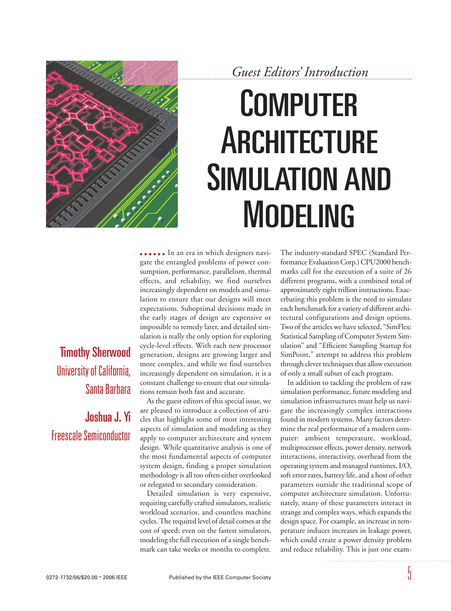

*Guest Editors' Introduction*

## **COMPUTER ARCHITECTURE** SIMULATION AND **MODELING**

In an era in which designers navigate the entangled problems of power consumption, performance, parallelism, thermal effects, and reliability, we find ourselves increasingly dependent on models and simulation to ensure that our designs will meet expectations. Suboptimal decisions made in the early stages of design are expensive or impossible to remedy later, and detailed simulation is really the only option for exploring cycle-level effects. With each new processor generation, designs are growing larger and more complex, and while we find ourselves increasingly dependent on simulation, it is a constant challenge to ensure that our simulations remain both fast and accurate.

As the guest editors of this special issue, we are pleased to introduce a collection of articles that highlight some of most interesting aspects of simulation and modeling as they apply to computer architecture and system design. While quantitative analysis is one of the most fundamental aspects of computer system design, finding a proper simulation methodology is all too often either overlooked or relegated to secondary consideration.

Detailed simulation is very expensive, requiring carefully crafted simulators, realistic workload scenarios, and countless machine cycles. The required level of detail comes at the cost of speed; even on the fastest simulators, modeling the full execution of a single benchmark can take weeks or months to complete.

The industry-standard SPEC (Standard Performance Evaluation Corp.) CPU2000 benchmarks call for the execution of a suite of 26 different programs, with a combined total of approximately eight trillion instructions. Exacerbating this problem is the need to simulate each benchmark for a variety of different architectural configurations and design options. Two of the articles we have selected, "SimFlex: Statistical Sampling of Computer System Simulation" and "Efficient Sampling Startup for SimPoint," attempt to address this problem through clever techniques that allow execution of only a small subset of each program.

In addition to tackling the problem of raw simulation performance, future modeling and simulation infrastructures must help us navigate the increasingly complex interactions found in modern systems. Many factors determine the real performance of a modern computer: ambient temperature, workload, multiprocessor effects, power density, network interactions, interactivity, overhead from the operating system and managed runtimes, I/O, soft error rates, battery life, and a host of other parameters outside the traditional scope of computer architecture simulation. Unfortunately, many of these parameters interact in strange and complex ways, which expands the design space. For example, an increase in temperature induces increases in leakage power, which could create a power density problem and reduce reliability. This is just one exam-

## Timothy Sherwood University of California, Santa Barbara

Joshua J. Yi Freescale Semiconductor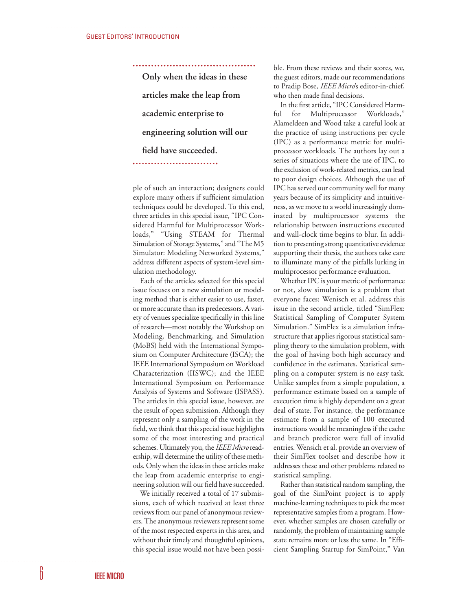**Only when the ideas in these articles make the leap from academic enterprise to engineering solution will our field have succeeded.**

ple of such an interaction; designers could explore many others if sufficient simulation techniques could be developed. To this end, three articles in this special issue, "IPC Considered Harmful for Multiprocessor Workloads," "Using STEAM for Thermal Simulation of Storage Systems," and "The M5 Simulator: Modeling Networked Systems," address different aspects of system-level simulation methodology.

Each of the articles selected for this special issue focuses on a new simulation or modeling method that is either easier to use, faster, or more accurate than its predecessors. A variety of venues specialize specifically in this line of research—most notably the Workshop on Modeling, Benchmarking, and Simulation (MoBS) held with the International Symposium on Computer Architecture (ISCA); the IEEE International Symposium on Workload Characterization (IISWC); and the IEEE International Symposium on Performance Analysis of Systems and Software (ISPASS). The articles in this special issue, however, are the result of open submission. Although they represent only a sampling of the work in the field, we think that this special issue highlights some of the most interesting and practical schemes. Ultimately you, the *IEEE Micro* readership, will determine the utility of these methods. Only when the ideas in these articles make the leap from academic enterprise to engineering solution will our field have succeeded.

We initially received a total of 17 submissions, each of which received at least three reviews from our panel of anonymous reviewers. The anonymous reviewers represent some of the most respected experts in this area, and without their timely and thoughtful opinions, this special issue would not have been possible. From these reviews and their scores, we, the guest editors, made our recommendations to Pradip Bose, *IEEE Micro*'s editor-in-chief, who then made final decisions.

In the first article, "IPC Considered Harmful for Multiprocessor Workloads," Alameldeen and Wood take a careful look at the practice of using instructions per cycle (IPC) as a performance metric for multiprocessor workloads. The authors lay out a series of situations where the use of IPC, to the exclusion of work-related metrics, can lead to poor design choices. Although the use of IPC has served our community well for many years because of its simplicity and intuitiveness, as we move to a world increasingly dominated by multiprocessor systems the relationship between instructions executed and wall-clock time begins to blur. In addition to presenting strong quantitative evidence supporting their thesis, the authors take care to illuminate many of the pitfalls lurking in multiprocessor performance evaluation.

Whether IPC is your metric of performance or not, slow simulation is a problem that everyone faces: Wenisch et al. address this issue in the second article, titled "SimFlex: Statistical Sampling of Computer System Simulation." SimFlex is a simulation infrastructure that applies rigorous statistical sampling theory to the simulation problem, with the goal of having both high accuracy and confidence in the estimates. Statistical sampling on a computer system is no easy task. Unlike samples from a simple population, a performance estimate based on a sample of execution time is highly dependent on a great deal of state. For instance, the performance estimate from a sample of 100 executed instructions would be meaningless if the cache and branch predictor were full of invalid entries. Wensich et al. provide an overview of their SimFlex toolset and describe how it addresses these and other problems related to statistical sampling.

Rather than statistical random sampling, the goal of the SimPoint project is to apply machine-learning techniques to pick the most representative samples from a program. However, whether samples are chosen carefully or randomly, the problem of maintaining sample state remains more or less the same. In "Efficient Sampling Startup for SimPoint," Van